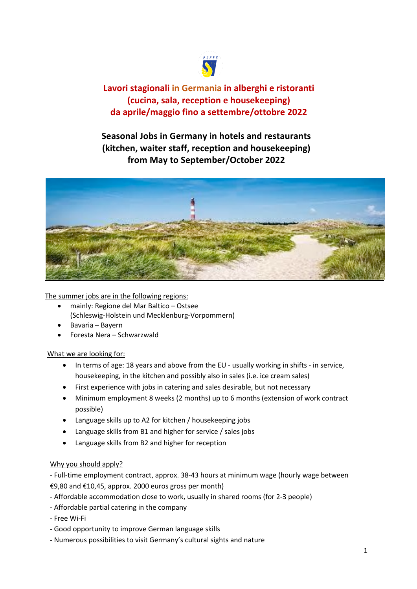

**Lavori stagionali in Germania in alberghi e ristoranti (cucina, sala, reception e housekeeping) da aprile/maggio fino a settembre/ottobre 2022**

**Seasonal Jobs in Germany in hotels and restaurants (kitchen, waiter staff, reception and housekeeping) from May to September/October 2022**



The summer jobs are in the following regions:

- mainly: Regione del Mar Baltico Ostsee
- (Schleswig-Holstein und Mecklenburg-Vorpommern)
- Bavaria Bayern
- Foresta Nera Schwarzwald

## What we are looking for:

- In terms of age: 18 years and above from the EU usually working in shifts in service, housekeeping, in the kitchen and possibly also in sales (i.e. ice cream sales)
- First experience with jobs in catering and sales desirable, but not necessary
- Minimum employment 8 weeks (2 months) up to 6 months (extension of work contract possible)
- Language skills up to A2 for kitchen / housekeeping jobs
- Language skills from B1 and higher for service / sales jobs
- Language skills from B2 and higher for reception

## Why you should apply?

- Full-time employment contract, approx. 38-43 hours at minimum wage (hourly wage between €9,80 and €10,45, approx. 2000 euros gross per month)

- Affordable accommodation close to work, usually in shared rooms (for 2-3 people)
- Affordable partial catering in the company
- Free Wi-Fi
- Good opportunity to improve German language skills
- Numerous possibilities to visit Germany's cultural sights and nature